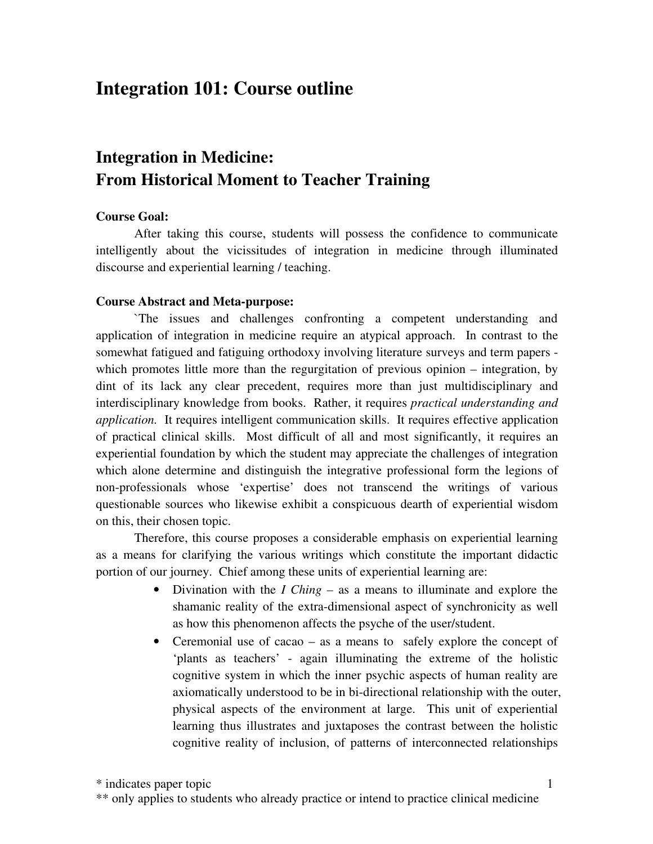# **Integration 101: Course outline**

## **Integration in Medicine: From Historical Moment to Teacher Training**

#### **Course Goal:**

After taking this course, students will possess the confidence to communicate intelligently about the vicissitudes of integration in medicine through illuminated discourse and experiential learning / teaching.

#### **Course Abstract and Meta-purpose:**

`The issues and challenges confronting a competent understanding and application of integration in medicine require an atypical approach. In contrast to the somewhat fatigued and fatiguing orthodoxy involving literature surveys and term papers which promotes little more than the regurgitation of previous opinion – integration, by dint of its lack any clear precedent, requires more than just multidisciplinary and interdisciplinary knowledge from books. Rather, it requires *practical understanding and application.* It requires intelligent communication skills. It requires effective application of practical clinical skills. Most difficult of all and most significantly, it requires an experiential foundation by which the student may appreciate the challenges of integration which alone determine and distinguish the integrative professional form the legions of non-professionals whose 'expertise' does not transcend the writings of various questionable sources who likewise exhibit a conspicuous dearth of experiential wisdom on this, their chosen topic.

Therefore, this course proposes a considerable emphasis on experiential learning as a means for clarifying the various writings which constitute the important didactic portion of our journey. Chief among these units of experiential learning are:

- Divination with the *I Ching –* as a means to illuminate and explore the shamanic reality of the extra-dimensional aspect of synchronicity as well as how this phenomenon affects the psyche of the user/student.
- Ceremonial use of cacao as a means to safely explore the concept of 'plants as teachers' - again illuminating the extreme of the holistic cognitive system in which the inner psychic aspects of human reality are axiomatically understood to be in bi-directional relationship with the outer, physical aspects of the environment at large. This unit of experiential learning thus illustrates and juxtaposes the contrast between the holistic cognitive reality of inclusion, of patterns of interconnected relationships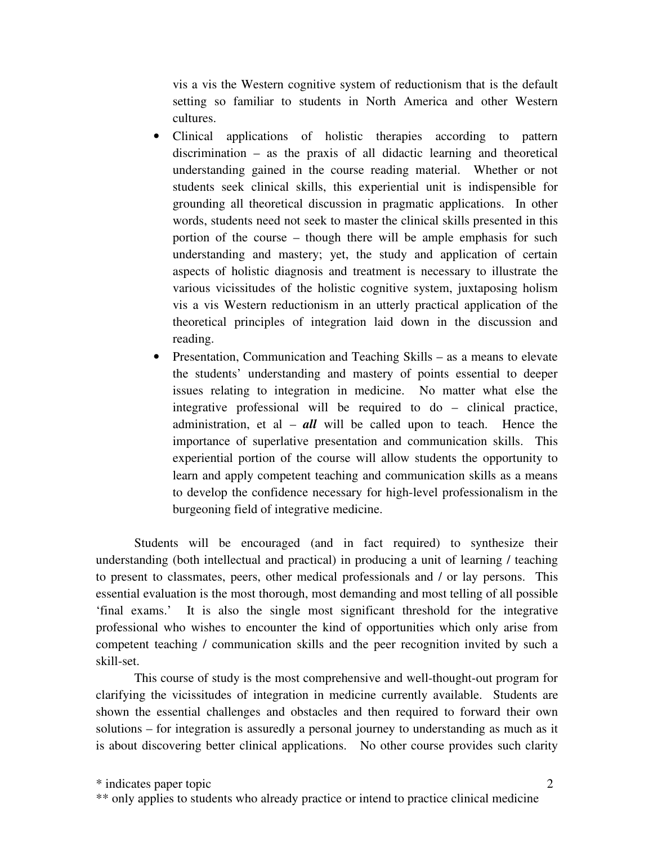vis a vis the Western cognitive system of reductionism that is the default setting so familiar to students in North America and other Western cultures.

- Clinical applications of holistic therapies according to pattern discrimination – as the praxis of all didactic learning and theoretical understanding gained in the course reading material. Whether or not students seek clinical skills, this experiential unit is indispensible for grounding all theoretical discussion in pragmatic applications. In other words, students need not seek to master the clinical skills presented in this portion of the course – though there will be ample emphasis for such understanding and mastery; yet, the study and application of certain aspects of holistic diagnosis and treatment is necessary to illustrate the various vicissitudes of the holistic cognitive system, juxtaposing holism vis a vis Western reductionism in an utterly practical application of the theoretical principles of integration laid down in the discussion and reading.
- Presentation, Communication and Teaching Skills as a means to elevate the students' understanding and mastery of points essential to deeper issues relating to integration in medicine. No matter what else the integrative professional will be required to do – clinical practice, administration, et al – *all* will be called upon to teach. Hence the importance of superlative presentation and communication skills. This experiential portion of the course will allow students the opportunity to learn and apply competent teaching and communication skills as a means to develop the confidence necessary for high-level professionalism in the burgeoning field of integrative medicine.

Students will be encouraged (and in fact required) to synthesize their understanding (both intellectual and practical) in producing a unit of learning / teaching to present to classmates, peers, other medical professionals and / or lay persons. This essential evaluation is the most thorough, most demanding and most telling of all possible 'final exams.' It is also the single most significant threshold for the integrative professional who wishes to encounter the kind of opportunities which only arise from competent teaching / communication skills and the peer recognition invited by such a skill-set.

This course of study is the most comprehensive and well-thought-out program for clarifying the vicissitudes of integration in medicine currently available. Students are shown the essential challenges and obstacles and then required to forward their own solutions – for integration is assuredly a personal journey to understanding as much as it is about discovering better clinical applications. No other course provides such clarity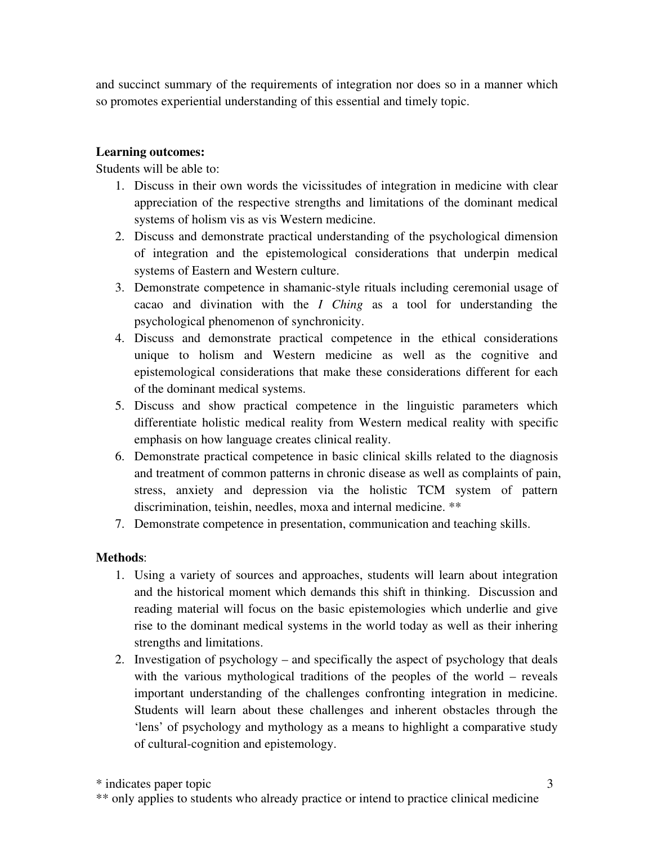and succinct summary of the requirements of integration nor does so in a manner which so promotes experiential understanding of this essential and timely topic.

#### **Learning outcomes:**

Students will be able to:

- 1. Discuss in their own words the vicissitudes of integration in medicine with clear appreciation of the respective strengths and limitations of the dominant medical systems of holism vis as vis Western medicine.
- 2. Discuss and demonstrate practical understanding of the psychological dimension of integration and the epistemological considerations that underpin medical systems of Eastern and Western culture.
- 3. Demonstrate competence in shamanic-style rituals including ceremonial usage of cacao and divination with the *I Ching* as a tool for understanding the psychological phenomenon of synchronicity.
- 4. Discuss and demonstrate practical competence in the ethical considerations unique to holism and Western medicine as well as the cognitive and epistemological considerations that make these considerations different for each of the dominant medical systems.
- 5. Discuss and show practical competence in the linguistic parameters which differentiate holistic medical reality from Western medical reality with specific emphasis on how language creates clinical reality.
- 6. Demonstrate practical competence in basic clinical skills related to the diagnosis and treatment of common patterns in chronic disease as well as complaints of pain, stress, anxiety and depression via the holistic TCM system of pattern discrimination, teishin, needles, moxa and internal medicine. \*\*
- 7. Demonstrate competence in presentation, communication and teaching skills.

### **Methods**:

- 1. Using a variety of sources and approaches, students will learn about integration and the historical moment which demands this shift in thinking. Discussion and reading material will focus on the basic epistemologies which underlie and give rise to the dominant medical systems in the world today as well as their inhering strengths and limitations.
- 2. Investigation of psychology and specifically the aspect of psychology that deals with the various mythological traditions of the peoples of the world – reveals important understanding of the challenges confronting integration in medicine. Students will learn about these challenges and inherent obstacles through the 'lens' of psychology and mythology as a means to highlight a comparative study of cultural-cognition and epistemology.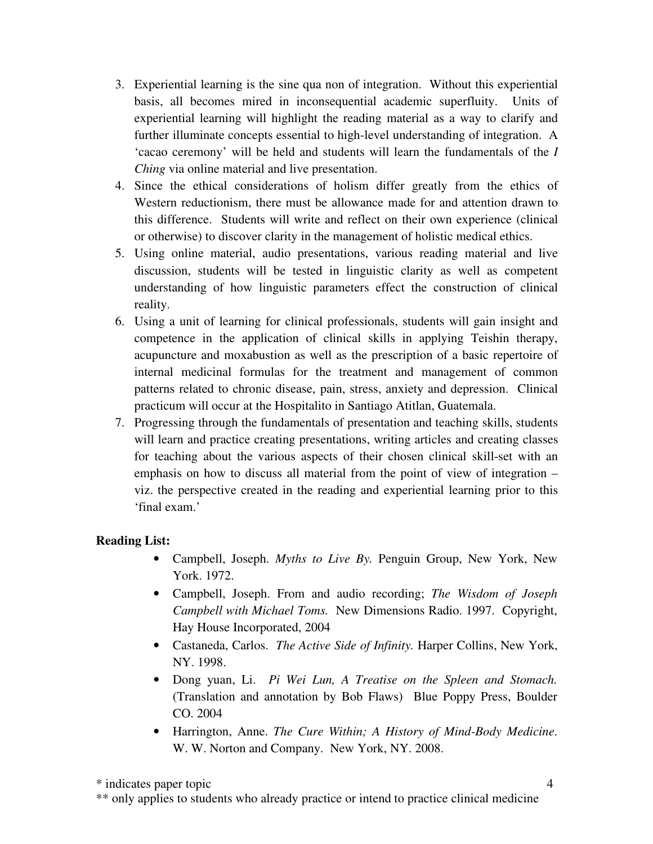- 3. Experiential learning is the sine qua non of integration. Without this experiential basis, all becomes mired in inconsequential academic superfluity. Units of experiential learning will highlight the reading material as a way to clarify and further illuminate concepts essential to high-level understanding of integration. A 'cacao ceremony' will be held and students will learn the fundamentals of the *I Ching* via online material and live presentation.
- 4. Since the ethical considerations of holism differ greatly from the ethics of Western reductionism, there must be allowance made for and attention drawn to this difference. Students will write and reflect on their own experience (clinical or otherwise) to discover clarity in the management of holistic medical ethics.
- 5. Using online material, audio presentations, various reading material and live discussion, students will be tested in linguistic clarity as well as competent understanding of how linguistic parameters effect the construction of clinical reality.
- 6. Using a unit of learning for clinical professionals, students will gain insight and competence in the application of clinical skills in applying Teishin therapy, acupuncture and moxabustion as well as the prescription of a basic repertoire of internal medicinal formulas for the treatment and management of common patterns related to chronic disease, pain, stress, anxiety and depression. Clinical practicum will occur at the Hospitalito in Santiago Atitlan, Guatemala.
- 7. Progressing through the fundamentals of presentation and teaching skills, students will learn and practice creating presentations, writing articles and creating classes for teaching about the various aspects of their chosen clinical skill-set with an emphasis on how to discuss all material from the point of view of integration – viz. the perspective created in the reading and experiential learning prior to this 'final exam.'

### **Reading List:**

- Campbell, Joseph. *Myths to Live By.* Penguin Group, New York, New York. 1972.
- Campbell, Joseph. From and audio recording; *The Wisdom of Joseph Campbell with Michael Toms.* New Dimensions Radio. 1997. Copyright, Hay House Incorporated, 2004
- Castaneda, Carlos. *The Active Side of Infinity.* Harper Collins, New York, NY. 1998.
- Dong yuan, Li. *Pi Wei Lun, A Treatise on the Spleen and Stomach.* (Translation and annotation by Bob Flaws) Blue Poppy Press, Boulder CO. 2004
- Harrington, Anne. *The Cure Within; A History of Mind-Body Medicine*. W. W. Norton and Company. New York, NY. 2008.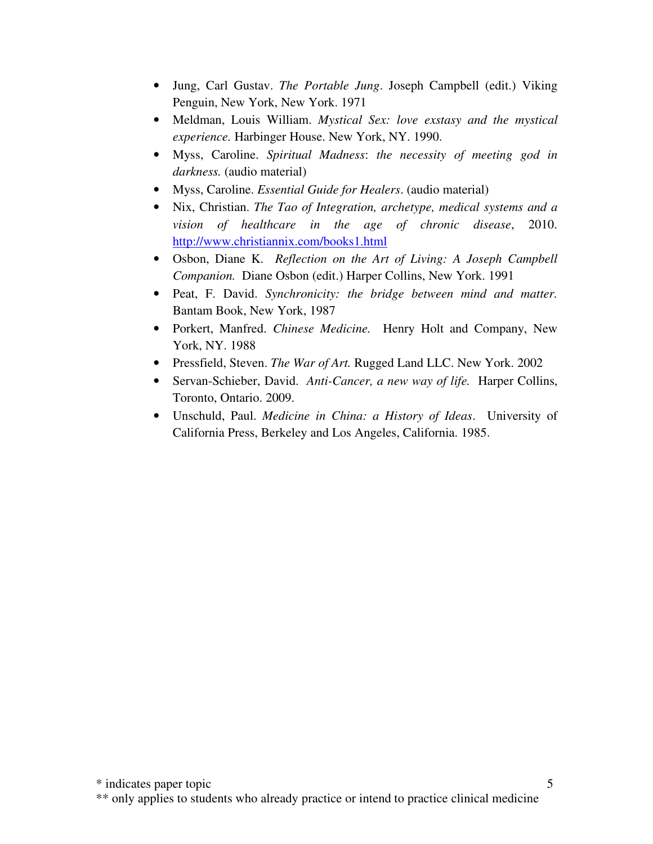- Jung, Carl Gustav. *The Portable Jung*. Joseph Campbell (edit.) Viking Penguin, New York, New York. 1971
- Meldman, Louis William. *Mystical Sex: love exstasy and the mystical experience.* Harbinger House. New York, NY. 1990.
- Myss, Caroline. *Spiritual Madness*: *the necessity of meeting god in darkness.* (audio material)
- Myss, Caroline. *Essential Guide for Healers*. (audio material)
- Nix, Christian. *The Tao of Integration, archetype, medical systems and a vision of healthcare in the age of chronic disease*, 2010. http://www.christiannix.com/books1.html
- Osbon, Diane K. *Reflection on the Art of Living: A Joseph Campbell Companion.* Diane Osbon (edit.) Harper Collins, New York. 1991
- Peat, F. David. *Synchronicity: the bridge between mind and matter.* Bantam Book, New York, 1987
- Porkert, Manfred. *Chinese Medicine.* Henry Holt and Company, New York, NY. 1988
- Pressfield, Steven. *The War of Art.* Rugged Land LLC. New York. 2002
- Servan-Schieber, David. *Anti-Cancer, a new way of life.* Harper Collins, Toronto, Ontario. 2009.
- Unschuld, Paul. *Medicine in China: a History of Ideas*. University of California Press, Berkeley and Los Angeles, California. 1985.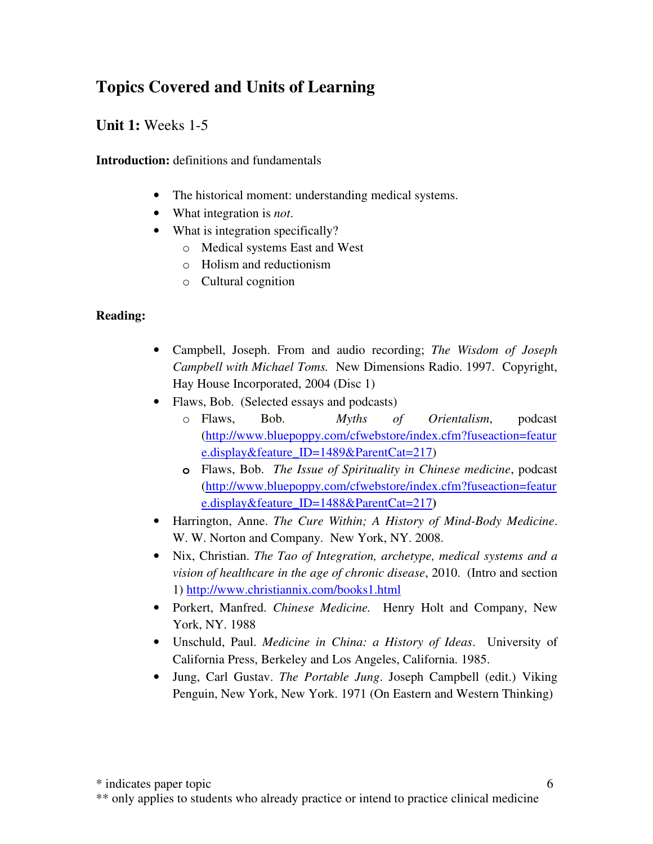# **Topics Covered and Units of Learning**

## **Unit 1:** Weeks 1-5

**Introduction:** definitions and fundamentals

- The historical moment: understanding medical systems.
- What integration is *not*.
- What is integration specifically?
	- o Medical systems East and West
	- o Holism and reductionism
	- o Cultural cognition

### **Reading:**

- Campbell, Joseph. From and audio recording; *The Wisdom of Joseph Campbell with Michael Toms.* New Dimensions Radio. 1997. Copyright, Hay House Incorporated, 2004 (Disc 1)
- Flaws, Bob. (Selected essays and podcasts)
	- o Flaws, Bob. *Myths of Orientalism*, podcast (http://www.bluepoppy.com/cfwebstore/index.cfm?fuseaction=featur e.display&feature\_ID=1489&ParentCat=217)
	- **o** Flaws, Bob. *The Issue of Spirituality in Chinese medicine*, podcast (http://www.bluepoppy.com/cfwebstore/index.cfm?fuseaction=featur e.display&feature\_ID=1488&ParentCat=217**)**
- Harrington, Anne. *The Cure Within; A History of Mind-Body Medicine*. W. W. Norton and Company. New York, NY. 2008.
- Nix, Christian. *The Tao of Integration, archetype, medical systems and a vision of healthcare in the age of chronic disease*, 2010. (Intro and section 1) http://www.christiannix.com/books1.html
- Porkert, Manfred. *Chinese Medicine.* Henry Holt and Company, New York, NY. 1988
- Unschuld, Paul. *Medicine in China: a History of Ideas*. University of California Press, Berkeley and Los Angeles, California. 1985.
- Jung, Carl Gustav. *The Portable Jung*. Joseph Campbell (edit.) Viking Penguin, New York, New York. 1971 (On Eastern and Western Thinking)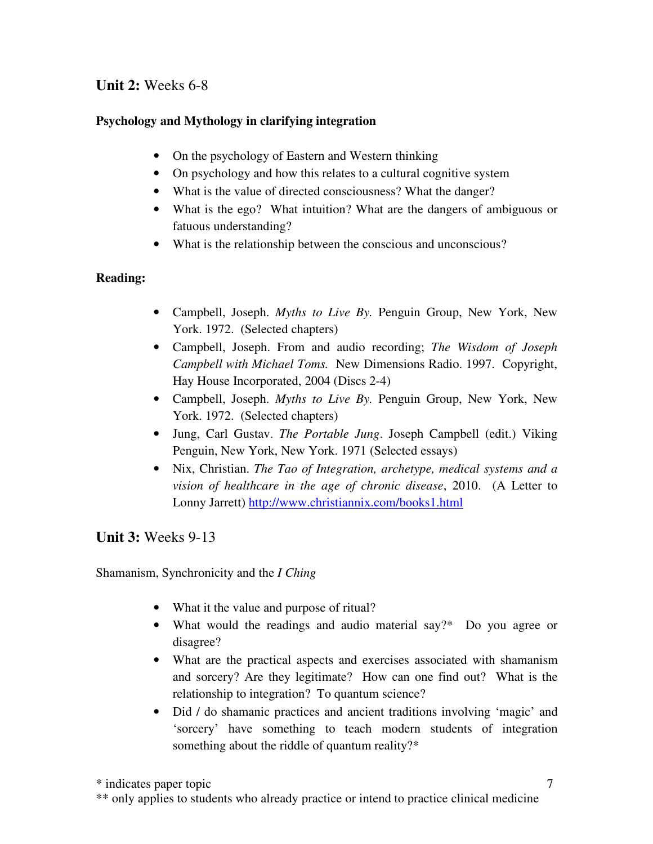## **Unit 2:** Weeks 6-8

### **Psychology and Mythology in clarifying integration**

- On the psychology of Eastern and Western thinking
- On psychology and how this relates to a cultural cognitive system
- What is the value of directed consciousness? What the danger?
- What is the ego? What intuition? What are the dangers of ambiguous or fatuous understanding?
- What is the relationship between the conscious and unconscious?

#### **Reading:**

- Campbell, Joseph. *Myths to Live By.* Penguin Group, New York, New York. 1972. (Selected chapters)
- Campbell, Joseph. From and audio recording; *The Wisdom of Joseph Campbell with Michael Toms.* New Dimensions Radio. 1997. Copyright, Hay House Incorporated, 2004 (Discs 2-4)
- Campbell, Joseph. *Myths to Live By.* Penguin Group, New York, New York. 1972. (Selected chapters)
- Jung, Carl Gustav. *The Portable Jung*. Joseph Campbell (edit.) Viking Penguin, New York, New York. 1971 (Selected essays)
- Nix, Christian. *The Tao of Integration, archetype, medical systems and a vision of healthcare in the age of chronic disease*, 2010. (A Letter to Lonny Jarrett) http://www.christiannix.com/books1.html

### **Unit 3:** Weeks 9-13

Shamanism, Synchronicity and the *I Ching*

- What it the value and purpose of ritual?
- What would the readings and audio material say?\* Do you agree or disagree?
- What are the practical aspects and exercises associated with shamanism and sorcery? Are they legitimate? How can one find out? What is the relationship to integration? To quantum science?
- Did / do shamanic practices and ancient traditions involving 'magic' and 'sorcery' have something to teach modern students of integration something about the riddle of quantum reality?\*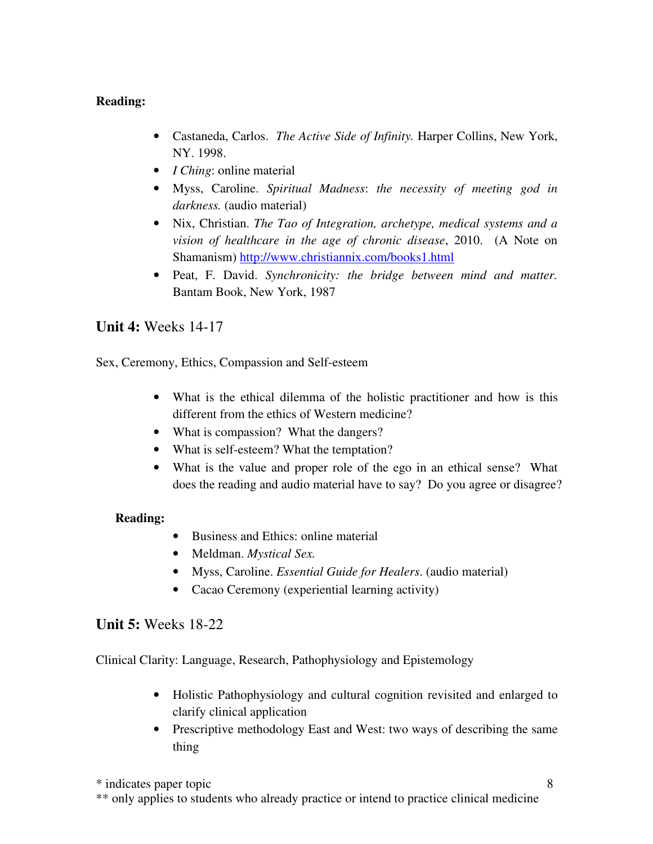### **Reading:**

- Castaneda, Carlos. *The Active Side of Infinity.* Harper Collins, New York, NY. 1998.
- *I Ching*: online material
- Myss, Caroline. *Spiritual Madness*: *the necessity of meeting god in darkness.* (audio material)
- Nix, Christian. *The Tao of Integration, archetype, medical systems and a vision of healthcare in the age of chronic disease*, 2010. (A Note on Shamanism) http://www.christiannix.com/books1.html
- Peat, F. David. *Synchronicity: the bridge between mind and matter.* Bantam Book, New York, 1987

### **Unit 4:** Weeks 14-17

Sex, Ceremony, Ethics, Compassion and Self-esteem

- What is the ethical dilemma of the holistic practitioner and how is this different from the ethics of Western medicine?
- What is compassion? What the dangers?
- What is self-esteem? What the temptation?
- What is the value and proper role of the ego in an ethical sense? What does the reading and audio material have to say? Do you agree or disagree?

### **Reading:**

- Business and Ethics: online material
- Meldman. *Mystical Sex.*
- Myss, Caroline. *Essential Guide for Healers*. (audio material)
- Cacao Ceremony (experiential learning activity)

### **Unit 5:** Weeks 18-22

Clinical Clarity: Language, Research, Pathophysiology and Epistemology

- Holistic Pathophysiology and cultural cognition revisited and enlarged to clarify clinical application
- Prescriptive methodology East and West: two ways of describing the same thing

\* indicates paper topic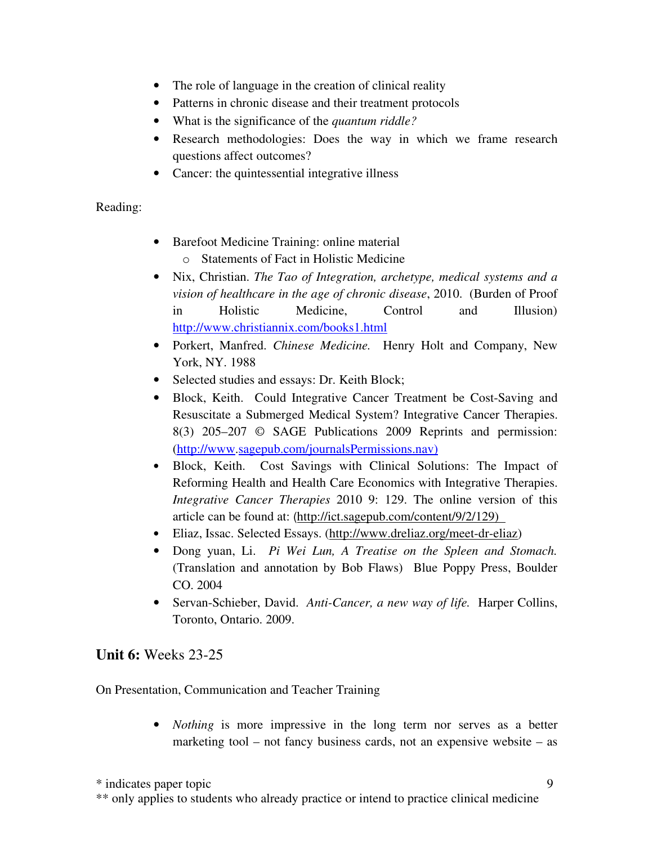- The role of language in the creation of clinical reality
- Patterns in chronic disease and their treatment protocols
- What is the significance of the *quantum riddle?*
- Research methodologies: Does the way in which we frame research questions affect outcomes?
- Cancer: the quintessential integrative illness

#### Reading:

- Barefoot Medicine Training: online material
	- o Statements of Fact in Holistic Medicine
- Nix, Christian. *The Tao of Integration, archetype, medical systems and a vision of healthcare in the age of chronic disease*, 2010. (Burden of Proof in Holistic Medicine, Control and Illusion) http://www.christiannix.com/books1.html
- Porkert, Manfred. *Chinese Medicine.* Henry Holt and Company, New York, NY. 1988
- Selected studies and essays: Dr. Keith Block;
- Block, Keith. Could Integrative Cancer Treatment be Cost-Saving and Resuscitate a Submerged Medical System? Integrative Cancer Therapies. 8(3) 205–207 © SAGE Publications 2009 Reprints and permission: (http://www.sagepub.com/journalsPermissions.nav)
- Block, Keith. Cost Savings with Clinical Solutions: The Impact of Reforming Health and Health Care Economics with Integrative Therapies. *Integrative Cancer Therapies* 2010 9: 129. The online version of this article can be found at: (http://ict.sagepub.com/content/9/2/129)
- Eliaz, Issac. Selected Essays. (http://www.dreliaz.org/meet-dr-eliaz)
- Dong yuan, Li. *Pi Wei Lun, A Treatise on the Spleen and Stomach.* (Translation and annotation by Bob Flaws) Blue Poppy Press, Boulder CO. 2004
- Servan-Schieber, David. *Anti-Cancer, a new way of life.* Harper Collins, Toronto, Ontario. 2009.

### **Unit 6:** Weeks 23-25

On Presentation, Communication and Teacher Training

• *Nothing* is more impressive in the long term nor serves as a better marketing tool – not fancy business cards, not an expensive website – as